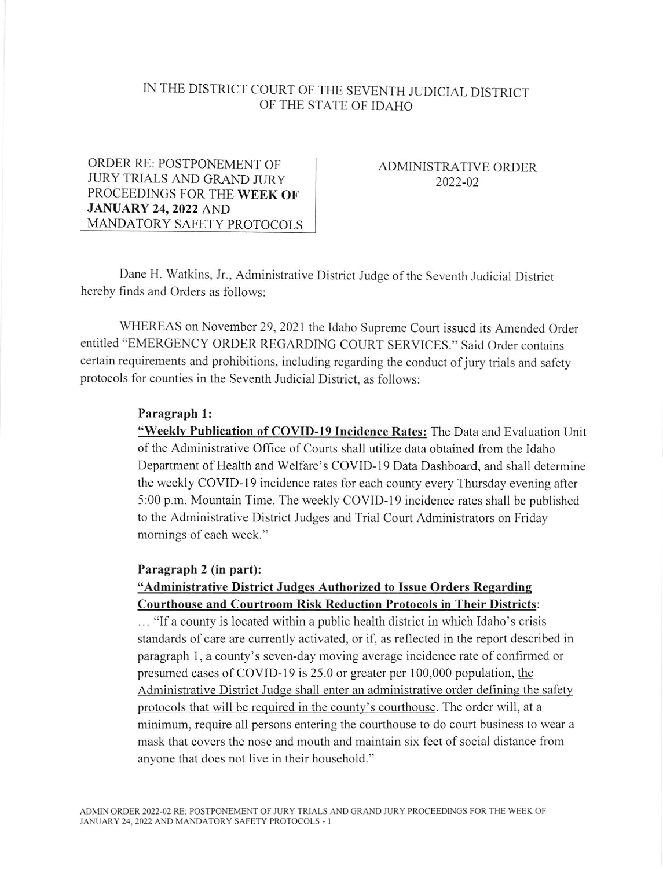# IN THE DISTRICT COURT OF THE SEVENTH JUDICIAL DISTRICT OF THE STATE OF IDAHO

ORDER RE: POSTPONEMENT OF JURY TRIALS AND GRAND JURY PROCEEDINGS FOR THE WEEK OF JANUARY 24,2022 AND MANDATORY SAFETY PROTOCOLS

ADMINISTRATIVE ORDER 2022-02

Dane H. Watkins, Jr., Administrative District Judge of the Seventh Judicial District hereby finds and Orders as follows:

WHEREAS on November 29,2021 the Idaho Supreme Court issued its Amended Order entitled "EMERGENCY ORDER REGARDING COURT SERVICES." Said Order contains certain requirements and prohibitions, including regarding the conduct of jury trials and safety protocols for counties in the Seventh Judicial District, as follows:

#### Paragraph l:

"Weekly Publication of COVID-19 Incidence Rates: The Data and Evaluation Unit ofthe Administrative Office of Courts shall utilize data obtained from the Idaho Department of Health and Welfare's COVID-19 Data Dashboard, and shall determine the weekly COVID-I9 incidence rates for each county every Thursday evening aiter 5:00 p.m. Mountain Time. The weekly COVID-I9 incidence rates shall be published to the Administrative District Judges and Trial Court Administrators on Friday momings of each week."

#### Paragraph 2 (in part):

### "Administrative District Judges Authorized to Issue Orders Regarding Courthouse and Courtroom Risk Reduction Protocols in Their Districts

... "lf a county is located within a public health district in which Idaho's crisis standards of care are currently activated, or if, as reflected in the report described in paragraph 1, a county's seven-day moving average incidence rate of confirmed or presumed cases of COVID-I9 is 25.0 or greater per 100,000 population, the Administrative District Judge shall enter an administrative order defining the safety protocols that will be required in the county's courthouse. The order will, at a minimum, require all persons entering the courthouse to do court business to wear a mask that covers the nose and mouth and maintain six feet of social distance from anyone that does not live in their household."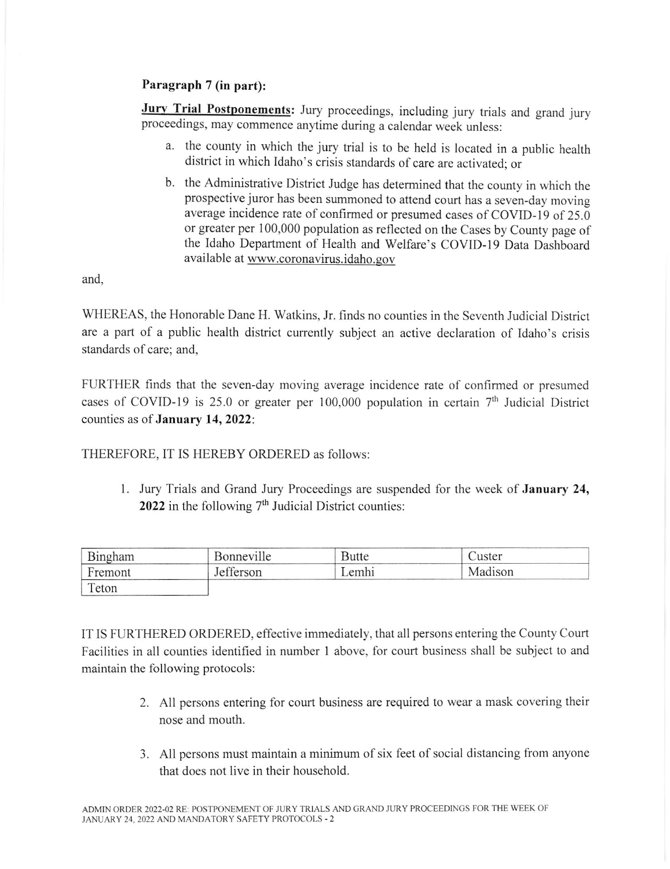## Paragraph 7 (in part):

Jury Trial Postponements: Jury proceedings, including jury trials and grand jury proceedings, may commence anytime during a calendar week unless:

- a. the county in which the jury trial is to be held is located in a public health district in which Idaho's crisis standards of care are activated; or
- b. the Administrative District Judge has determined that the county in which the prospective juror has been summoned to attend court has a seven-day moving average incidence rate of confirmed or presumed cases of COVID-19 of 25.0 or greater per 100,000 population as reflected on the Cases by County page of the Idaho Department of Health and Welfare's COVID-19 Data Dashboard available at www.coronavirus.idaho.gov

and.

WHEREAS, the Honorable Dane H. Watkins, Jr. finds no counties in the Seventh Judicial District are a part of a public health district currently subject an active declaration of Idaho's crisis standards of care; and,

FURTHER finds that the seven-day moving average incidence rate of confirmed or presumed cases of COVID-19 is 25.0 or greater per 100,000 population in certain  $7<sup>th</sup>$  Judicial District counties as of January 14, 2022:

THEREFORE, IT IS HEREBY ORDERED as follows:

1. Jury Trials and Grand Jury Proceedings are suspended for the week of **January 24,** 2022 in the following  $7<sup>th</sup>$  Judicial District counties:

| Bingham | Bonneville | Butte | Juster  |  |
|---------|------------|-------|---------|--|
| Fremont | Jefferson  | Lemhi | Madison |  |
| Teton   |            |       |         |  |

IT IS FURTHERED ORDERED, effective immediately, that all persons entering the County Court Facilities in all counties identified in number I above, for court business shall be subject to and maintain the following protocols:

- 2. All persons entering for court business are required to wear a mask covering their nose and mouth
- 3. All persons must maintain a minimum of six feet of social distancing from anyone that does not live in their household.